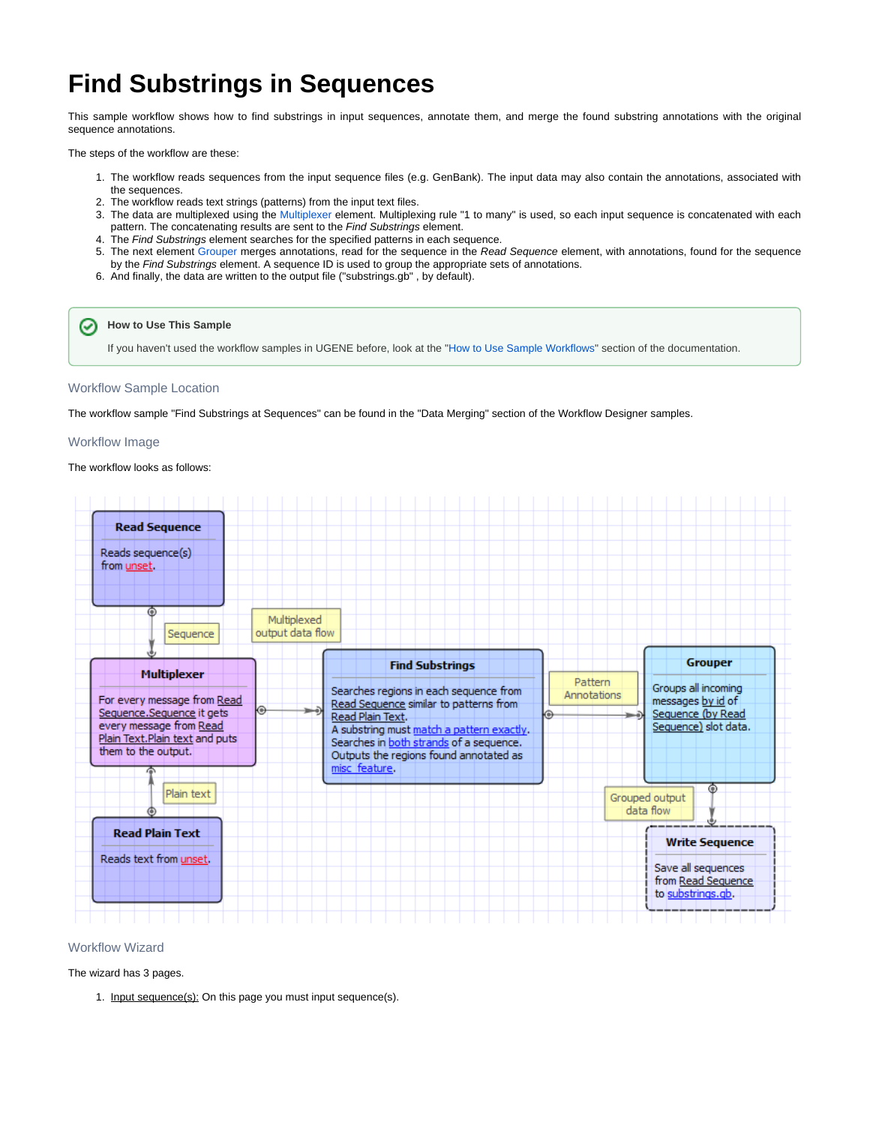# **Find Substrings in Sequences**

This sample workflow shows how to find substrings in input sequences, annotate them, and merge the found substring annotations with the original sequence annotations.

The steps of the workflow are these:

- 1. The workflow reads sequences from the input sequence files (e.g. GenBank). The input data may also contain the annotations, associated with the sequences.
- 2. The workflow reads text strings (patterns) from the input text files.
- 3. The data are multiplexed using the [Multiplexer](https://doc.ugene.net/wiki/display/UM/Multiplexer+Element) element. Multiplexing rule "1 to many" is used, so each input sequence is concatenated with each pattern. The concatenating results are sent to the Find Substrings element.
- 4. The Find Substrings element searches for the specified patterns in each sequence.
- 5. The next element [Grouper](https://doc.ugene.net/wiki/display/UM/Grouper+Element) merges annotations, read for the sequence in the Read Sequence element, with annotations, found for the sequence by the Find Substrings element. A sequence ID is used to group the appropriate sets of annotations.
- 6. And finally, the data are written to the output file ("substrings.gb" , by default).

**How to Use This Sample** ⊘

If you haven't used the workflow samples in UGENE before, look at the "[How to Use Sample Workflows"](https://doc.ugene.net/wiki/display/UM/How+to+Use+Sample+Workflows) section of the documentation.

#### Workflow Sample Location

The workflow sample "Find Substrings at Sequences" can be found in the "Data Merging" section of the Workflow Designer samples.

#### Workflow Image

The workflow looks as follows:



### Workflow Wizard

The wizard has 3 pages.

1. Input sequence(s): On this page you must input sequence(s).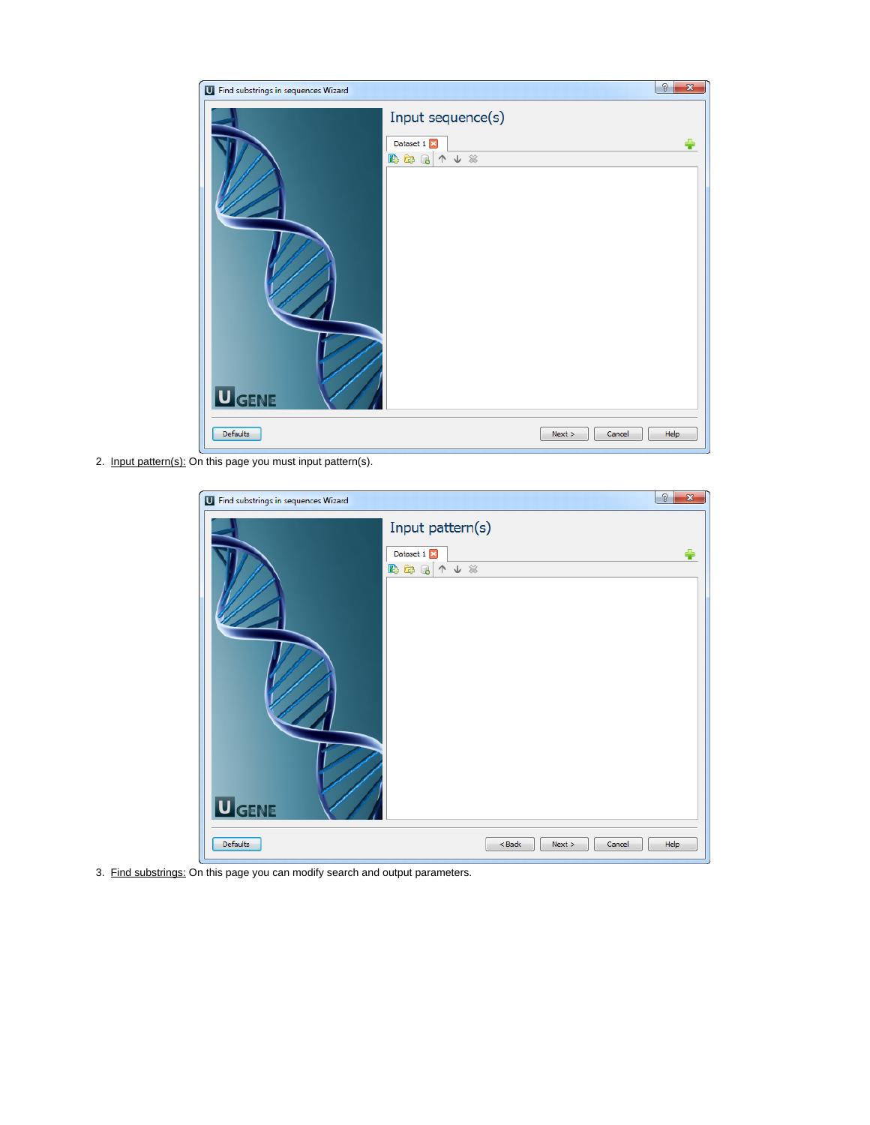| U Find substrings in sequences Wizard                      | $\mathcal{D}$<br>$\overline{\mathbf{x}}$ |
|------------------------------------------------------------|------------------------------------------|
| Input sequence(s)<br>Dataset 1<br>出海局 个人米<br><b>U</b> GENE |                                          |
| Defaults<br>Next ><br>Cancel                               | Help                                     |

2. Input pattern(s): On this page you must input pattern(s).

| U Find substrings in sequences Wizard |                                                | ð<br>$\overline{\mathbf{x}}$ |
|---------------------------------------|------------------------------------------------|------------------------------|
| <b>U</b> GENE                         | Input pattern(s)<br>Dataset 1<br>B & B<br>↑↓ * |                              |
| Defaults                              | $<$ Back<br>Next ><br>Cancel                   | Help                         |

3. Find substrings: On this page you can modify search and output parameters.